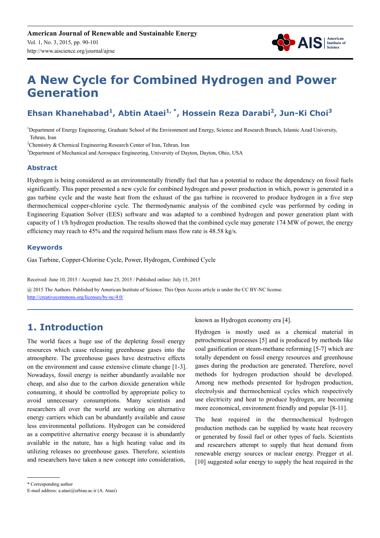

# **A New Cycle for Combined Hydrogen and Power Generation**

## **Ehsan Khanehabad<sup>1</sup> , Abtin Ataei1, \*, Hossein Reza Darabi<sup>2</sup> , Jun-Ki Choi<sup>3</sup>**

<sup>1</sup>Department of Energy Engineering, Graduate School of the Environment and Energy, Science and Research Branch, Islamic Azad University, Tehran, Iran

<sup>2</sup>Chemistry & Chemical Engineering Research Center of Iran, Tehran, Iran

<sup>3</sup>Department of Mechanical and Aerospace Engineering, University of Dayton, Dayton, Ohio, USA

#### **Abstract**

Hydrogen is being considered as an environmentally friendly fuel that has a potential to reduce the dependency on fossil fuels significantly. This paper presented a new cycle for combined hydrogen and power production in which, power is generated in a gas turbine cycle and the waste heat from the exhaust of the gas turbine is recovered to produce hydrogen in a five step thermochemical copper-chlorine cycle. The thermodynamic analysis of the combined cycle was performed by coding in Engineering Equation Solver (EES) software and was adapted to a combined hydrogen and power generation plant with capacity of 1 t/h hydrogen production. The results showed that the combined cycle may generate 174 MW of power, the energy efficiency may reach to 45% and the required helium mass flow rate is 48.58 kg/s.

#### **Keywords**

Gas Turbine, Copper-Chlorine Cycle, Power, Hydrogen, Combined Cycle

Received: June 10, 2015 / Accepted: June 25, 2015 / Published online: July 15, 2015

@ 2015 The Authors. Published by American Institute of Science. This Open Access article is under the CC BY-NC license. http://creativecommons.org/licenses/by-nc/4.0/

### **1. Introduction**

The world faces a huge use of the depleting fossil energy resources which cause releasing greenhouse gases into the atmosphere. The greenhouse gases have destructive effects on the environment and cause extensive climate change [1-3]. Nowadays, fossil energy is neither abundantly available nor cheap, and also due to the carbon dioxide generation while consuming, it should be controlled by appropriate policy to avoid unnecessary consumptions. Many scientists and researchers all over the world are working on alternative energy carriers which can be abundantly available and cause less environmental pollutions. Hydrogen can be considered as a competitive alternative energy because it is abundantly available in the nature, has a high heating value and its utilizing releases no greenhouse gases. Therefore, scientists and researchers have taken a new concept into consideration,

known as Hydrogen economy era [4].

Hydrogen is mostly used as a chemical material in petrochemical processes [5] and is produced by methods like coal gasification or steam-methane reforming [5-7] which are totally dependent on fossil energy resources and greenhouse gases during the production are generated. Therefore, novel methods for hydrogen production should be developed. Among new methods presented for hydrogen production, electrolysis and thermochemical cycles which respectively use electricity and heat to produce hydrogen, are becoming more economical, environment friendly and popular [8-11].

The heat required in the thermochemical hydrogen production methods can be supplied by waste heat recovery or generated by fossil fuel or other types of fuels. Scientists and researchers attempt to supply that heat demand from renewable energy sources or nuclear energy. Pregger et al. [10] suggested solar energy to supply the heat required in the

<sup>\*</sup> Corresponding author

E-mail address: a.ataei@srbiau.ac.ir (A. Ataei)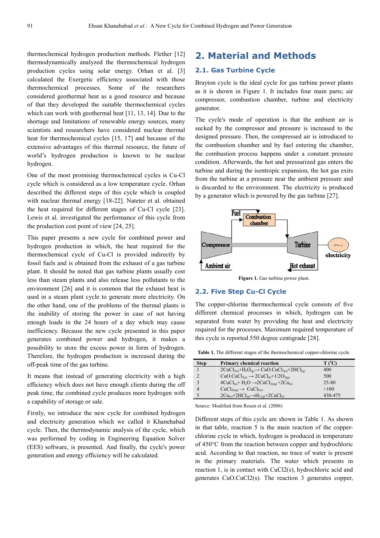thermochemical hydrogen production methods. Flether [12] thermodynamically analyzed the thermochemical hydrogen production cycles using solar energy. Orhan et al. [3] calculated the Exergetic efficiency associated with those thermochemical processes. Some of the researchers considered geothermal heat as a good resource and because of that they developed the suitable thermochemical cycles which can work with geothermal heat [11, 13, 14]. Due to the shortage and limitations of renewable energy sources, many scientists and researchers have considered nuclear thermal heat for thermochemical cycles [15, 17] and because of the extensive advantages of this thermal resource, the future of world's hydrogen production is known to be nuclear hydrogen.

One of the most promising thermochemical cycles is Cu-Cl cycle which is considered as a low temperature cycle. Orhan described the different steps of this cycle which is coupled with nuclear thermal energy [18-22]. Nateter et al. obtained the heat required for different stages of Cu-Cl cycle [23]. Lewis et al. investigated the performance of this cycle from the production cost point of view [24, 25].

This paper presents a new cycle for combined power and hydrogen production in which, the heat required for the thermochemical cycle of Cu-Cl is provided indirectly by fossil fuels and is obtained from the exhaust of a gas turbine plant. It should be noted that gas turbine plants usually cost less than steam plants and also release less pollutants to the environment [26] and it is common that the exhaust heat is used in a steam plant cycle to generate more electricity. On the other hand, one of the problems of the thermal plants is the inability of storing the power in case of not having enough loads in the 24 hours of a day which may cause inefficiency. Because the new cycle presented in this paper generates combined power and hydrogen, it makes a possibility to store the excess power in form of hydrogen. Therefore, the hydrogen production is increased during the off-peak time of the gas turbine.

It means that instead of generating electricity with a high efficiency which does not have enough clients during the off peak time, the combined cycle produces more hydrogen with a capability of storage or sale.

Firstly, we introduce the new cycle for combined hydrogen and electricity generation which we called it Khanehabad cycle. Then, the thermodynamic analysis of the cycle, which was performed by coding in Engineering Equation Solver (EES) software, is presented. And finally, the cycle's power generation and energy efficiency will be calculated.

### **2. Material and Methods**

#### **2.1. Gas Turbine Cycle**

Brayton cycle is the ideal cycle for gas turbine power plants as it is shown in Figure 1. It includes four main parts; air compressor, combustion chamber, turbine and electricity generator.

The cycle's mode of operation is that the ambient air is sucked by the compressor and pressure is increased to the designed pressure. Then, the compressed air is introduced to the combustion chamber and by fuel entering the chamber, the combustion process happens under a constant pressure condition. Afterwards, the hot and pressurized gas enters the turbine and during the isentropic expansion, the hot gas exits from the turbine at a pressure near the ambient pressure and is discarded to the environment. The electricity is produced by a generator which is powered by the gas turbine [27].



**Figure 1.** Gas turbine power plant.

#### **2.2. Five Step Cu-Cl Cycle**

The copper-chlorine thermochemical cycle consists of five different chemical processes in which, hydrogen can be separated from water by providing the heat and electricity required for the processes. Maximum required temperature of this cycle is reported 550 degree centigrade [28].

**Table 1.** The different stages of the thermochemical copper-chlorine cycle.

| <b>Step</b> | <b>Primary chemical reaction</b>                        | T (°C)  |
|-------------|---------------------------------------------------------|---------|
|             | $2CuCl2(s)+H2O(g) \rightarrow CuO.CuCl2(s)+2HCl(g)$     | 400     |
|             | $CuO.CuCl2(s) \rightarrow 2CuCl(1)+1/2O2(g)$            | 500     |
|             | $4CuCl(s) + H2O \rightarrow 2CuCl2(aq) + 2Cu(s)$        | 25-80   |
|             | $CuCl2(aq) \rightarrow CuCl2(s)$                        | >100    |
|             | $2Cu_{(s)}+2HCl_{(g)} \rightarrow H_{2(g)}+2CuCl_{(1)}$ | 430-475 |

Source: Modified from Rosen et al. (2006)

Different steps of this cycle are shown in Table 1. As shown in that table, reaction 5 is the main reaction of the copperchlorine cycle in which, hydrogen is produced in temperature of 450°C from the reaction between copper and hydrochloric acid. According to that reaction, no trace of water is present in the primary materials. The water which presents in reaction 1, is in contact with CuCl2(s), hydrochloric acid and generates CuO.CuCl2(s). The reaction 3 generates copper,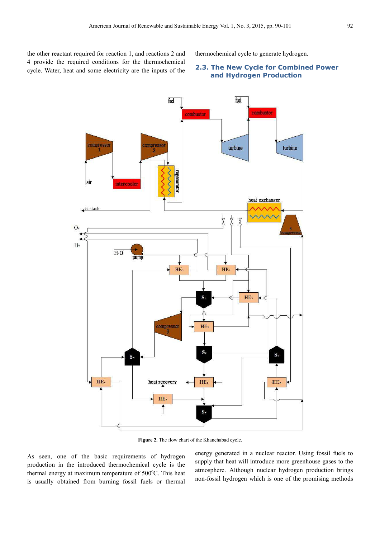the other reactant required for reaction 1, and reactions 2 and 4 provide the required conditions for the thermochemical cycle. Water, heat and some electricity are the inputs of the thermochemical cycle to generate hydrogen.

#### **2.3. The New Cycle for Combined Power and Hydrogen Production**



Figure 2. The flow chart of the Khanehabad cycle.

As seen, one of the basic requirements of hydrogen production in the introduced thermochemical cycle is the thermal energy at maximum temperature of  $500^{\circ}$ C. This heat is usually obtained from burning fossil fuels or thermal

energy generated in a nuclear reactor. Using fossil fuels to supply that heat will introduce more greenhouse gases to the atmosphere. Although nuclear hydrogen production brings non-fossil hydrogen which is one of the promising methods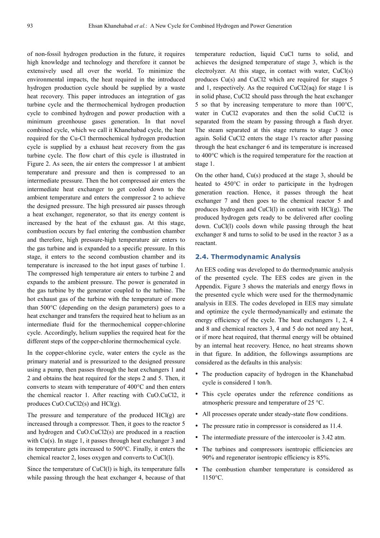of non-fossil hydrogen production in the future, it requires high knowledge and technology and therefore it cannot be extensively used all over the world. To minimize the environmental impacts, the heat required in the introduced hydrogen production cycle should be supplied by a waste heat recovery. This paper introduces an integration of gas turbine cycle and the thermochemical hydrogen production cycle to combined hydrogen and power production with a minimum greenhouse gases generation. In that novel combined cycle, which we call it Khanehabad cycle, the heat required for the Cu-Cl thermochemical hydrogen production cycle is supplied by a exhaust heat recovery from the gas turbine cycle. The flow chart of this cycle is illustrated in Figure 2. As seen, the air enters the compressor 1 at ambient temperature and pressure and then is compressed to an intermediate pressure. Then the hot compressed air enters the intermediate heat exchanger to get cooled down to the ambient temperature and enters the compressor 2 to achieve the designed pressure. The high pressured air passes through a heat exchanger, regenerator, so that its energy content is increased by the heat of the exhaust gas. At this stage, combustion occurs by fuel entering the combustion chamber and therefore, high pressure-high temperature air enters to the gas turbine and is expanded to a specific pressure. In this stage, it enters to the second combustion chamber and its temperature is increased to the hot input gases of turbine 1. The compressed high temperature air enters to turbine 2 and expands to the ambient pressure. The power is generated in the gas turbine by the generator coupled to the turbine. The hot exhaust gas of the turbine with the temperature of more than 500°C (depending on the design parameters) goes to a heat exchanger and transfers the required heat to helium as an intermediate fluid for the thermochemical copper-chlorine cycle. Accordingly, helium supplies the required heat for the different steps of the copper-chlorine thermochemical cycle.

In the copper-chlorine cycle, water enters the cycle as the primary material and is pressurized to the designed pressure using a pump, then passes through the heat exchangers 1 and 2 and obtains the heat required for the steps 2 and 5. Then, it converts to steam with temperature of 400°C and then enters the chemical reactor 1. After reacting with CuO.CuCl2, it produces CuO.CuCl2(s) and HCl(g).

The pressure and temperature of the produced  $HCI(g)$  are increased through a compressor. Then, it goes to the reactor 5 and hydrogen and CuO.CuCl2(s) are produced in a reaction with Cu(s). In stage 1, it passes through heat exchanger 3 and its temperature gets increased to 500°C. Finally, it enters the chemical reactor 2, loses oxygen and converts to CuCl(l).

Since the temperature of CuCl(l) is high, its temperature falls while passing through the heat exchanger 4, because of that temperature reduction, liquid CuCl turns to solid, and achieves the designed temperature of stage 3, which is the electrolyzer. At this stage, in contact with water, CuCl(s) produces Cu(s) and CuCl2 which are required for stages 5 and 1, respectively. As the required CuCl2(aq) for stage 1 is in solid phase, CuCl2 should pass through the heat exchanger 5 so that by increasing temperature to more than 100°C, water in CuCl2 evaporates and then the solid CuCl2 is separated from the steam by passing through a flash dryer. The steam separated at this stage returns to stage 3 once again. Solid CuCl2 enters the stage 1's reactor after passing through the heat exchanger 6 and its temperature is increased to 400°C which is the required temperature for the reaction at stage 1.

On the other hand, Cu(s) produced at the stage 3, should be heated to 450°C in order to participate in the hydrogen generation reaction. Hence, it passes through the heat exchanger 7 and then goes to the chemical reactor 5 and produces hydrogen and CuCl(l) in contact with HCl(g). The produced hydrogen gets ready to be delivered after cooling down. CuCl(l) cools down while passing through the heat exchanger 8 and turns to solid to be used in the reactor 3 as a reactant.

#### **2.4. Thermodynamic Analysis**

An EES coding was developed to do thermodynamic analysis of the presented cycle. The EES codes are given in the Appendix. Figure 3 shows the materials and energy flows in the presented cycle which were used for the thermodynamic analysis in EES. The codes developed in EES may simulate and optimize the cycle thermodynamically and estimate the energy efficiency of the cycle. The heat exchangers 1, 2, 4 and 8 and chemical reactors 3, 4 and 5 do not need any heat, or if more heat required, that thermal energy will be obtained by an internal heat recovery. Hence, no heat streams shown in that figure. In addition, the followings assumptions are considered as the defaults in this analysis:

- The production capacity of hydrogen in the Khanehabad cycle is considered 1 ton/h.
- This cycle operates under the reference conditions as atmospheric pressure and temperature of 25 °C.
- All processes operate under steady-state flow conditions.
- The pressure ratio in compressor is considered as 11.4.
- The intermediate pressure of the intercooler is 3.42 atm.
- The turbines and compressors isentropic efficiencies are 90% and regenerator isentropic efficiency is 85%.
- The combustion chamber temperature is considered as 1150°C.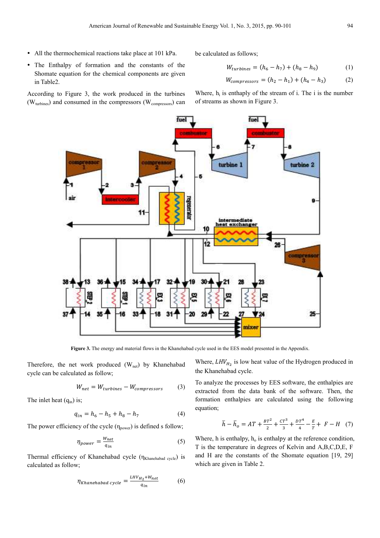All the thermochemical reactions take place at 101 kPa.

 The Enthalpy of formation and the constants of the Shomate equation for the chemical components are given in Table2.

According to Figure 3, the work produced in the turbines  $(W<sub>turbines</sub>)$  and consumed in the compressors  $(W<sub>compressors</sub>)$  can be calculated as follows;

$$
W_{turbines} = (h_6 - h_7) + (h_8 - h_9) \tag{1}
$$

$$
W_{compressors} = (h_2 - h_1) + (h_4 - h_3)
$$
 (2)

Where,  $h_i$  is enthaply of the stream of i. The i is the number of streams as shown in Figure 3.



**Figure 3.** The energy and material flows in the Khanehabad cycle used in the EES model presented in the Appendix.

Therefore, the net work produced (W<sub>net</sub>) by Khanehabad cycle can be calculated as follow;

$$
W_{net} = W_{turbines} - W_{compressors} \tag{3}
$$

The inlet heat  $(q_{in})$  is;

$$
q_{in} = h_6 - h_5 + h_8 - h_7 \tag{4}
$$

The power efficiency of the cycle  $(\eta_{power})$  is defined s follow;

$$
\eta_{power} = \frac{W_{net}}{q_{in}} \tag{5}
$$

Thermal efficiency of Khanehabad cycle  $(\eta_{Khanehabad cycle})$  is calculated as follow;

$$
\eta_{Khanehabad\ cycle} = \frac{LHV_{H_2} + W_{net}}{q_{in}} \tag{6}
$$

Where,  $LHV_{H_2}$  is low heat value of the Hydrogen produced in the Khanehabad cycle.

To analyze the processes by EES software, the enthalpies are extracted from the data bank of the software. Then, the formation enthalpies are calculated using the following equation;

$$
\bar{h} - \bar{h}_o = AT + \frac{BT^2}{2} + \frac{CT^3}{3} + \frac{DT^4}{4} - \frac{E}{T} + F - H \quad (7)
$$

Where, h is enthalpy,  $h_0$  is enthalpy at the reference condition, T is the temperature in degrees of Kelvin and A,B,C,D,E, F and H are the constants of the Shomate equation [19, 29] which are given in Table 2.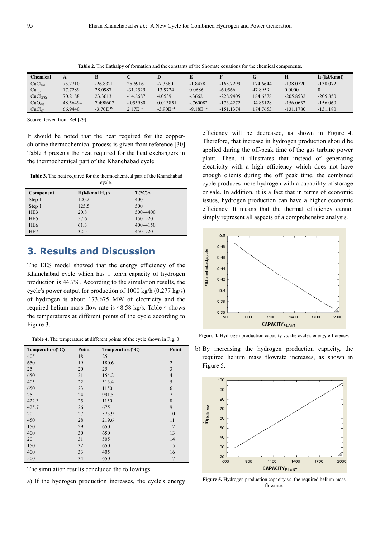| <b>Chemical</b>      |          |                |               | D              |                |             | G        |             | $h_f(kJ/kmol)$ |
|----------------------|----------|----------------|---------------|----------------|----------------|-------------|----------|-------------|----------------|
| CuCl <sub>(S)</sub>  | 75.2710  | $-26.8321$     | 25.6916       | $-7.3580$      | $-1.8478$      | $-165.7299$ | 174.6644 | $-138.0720$ | $-138.072$     |
| $Cu_{(S)}$           | 17.7289  | 28.0987        | $-31.2529$    | 13.9724        | 0.0686         | $-6.0566$   | 47.8959  | 0.0000      |                |
| CuCl <sub>2(S)</sub> | 70.2188  | 23.3613        | $-14.8687$    | 4.0539         | $-0.3662$      | $-228.9405$ | 184.6378 | $-205.8532$ | $-205.850$     |
| CuO <sub>(S)</sub>   | 48.56494 | 7.498607       | $-0.55980$    | 0.013851       | $-760082$      | $-173.4272$ | 94.85128 | $-156.0632$ | $-156.060$     |
| CuCl <sub>0</sub>    | 66.9440  | $-3.70E^{-10}$ | $2.17E^{-10}$ | $-3.90E^{-11}$ | $-9.18E^{-12}$ | $-1511374$  | 174.7653 | $-131.1780$ | $-131.180$     |

**Table 2.** The Enthalpy of formation and the constants of the Shomate equations for the chemical components.

Source: Given from Ref.[29].

It should be noted that the heat required for the copperchlorine thermochemical process is given from reference [30]. Table 3 presents the heat required for the heat exchangers in the thermochemical part of the Khanehabad cycle.

**Table 3.** The heat required for the thermochemical part of the Khanehabad cycle.

| <b>Component</b> | $H(kJ/mol H_2)\Delta$ | $T(^{\circ}C)\Delta$  |
|------------------|-----------------------|-----------------------|
| Step 1           | 120.2                 | 400                   |
| Step 1           | 125.5                 | 500                   |
| HE3              | 20.8                  | $500 \rightarrow 400$ |
| HE <sub>5</sub>  | 57.6                  | $150 \rightarrow 20$  |
| HE <sub>6</sub>  | 61.3                  | $400 \rightarrow 150$ |
| HE7              | 32.5                  | $450 \rightarrow 20$  |

### **3. Results and Discussion**

The EES model showed that the energy efficiency of the Khanehabad cycle which has 1 ton/h capacity of hydrogen production is 44.7%. According to the simulation results, the cycle's power output for production of 1000 kg/h (0.277 kg/s) of hydrogen is about 173.675 MW of electricity and the required helium mass flow rate is 48.58 kg/s. Table 4 shows the temperatures at different points of the cycle according to Figure 3.

**Table 4.** The temperature at different points of the cycle shown in Fig. 3.

| Temperature( ${}^{\circ}C$ ) | Point | Temperature( ${}^{\circ}C$ ) | Point          |
|------------------------------|-------|------------------------------|----------------|
| 405                          | 18    | 25                           | $\mathbf{1}$   |
| 650                          | 19    | 180.6                        | $\overline{2}$ |
| 25                           | 20    | 25                           | 3              |
| 650                          | 21    | 154.2                        | $\overline{4}$ |
| 405                          | 22    | 513.4                        | 5              |
| 650                          | 23    | 1150                         | 6              |
| 25                           | 24    | 991.5                        | $\overline{7}$ |
| 422.3                        | 25    | 1150                         | $\,$ 8 $\,$    |
| 425.7                        | 26    | 675                          | 9              |
| 20                           | 27    | 573.9                        | 10             |
| 450                          | 28    | 219.6                        | 11             |
| 150                          | 29    | 650                          | 12             |
| 400                          | 30    | 650                          | 13             |
| 20                           | 31    | 505                          | 14             |
| 150                          | 32    | 650                          | 15             |
| 400                          | 33    | 405                          | 16             |
| 500                          | 34    | 650                          | 17             |

The simulation results concluded the followings:

a) If the hydrogen production increases, the cycle's energy

efficiency will be decreased, as shown in Figure 4. Therefore, that increase in hydrogen production should be applied during the off-peak time of the gas turbine power plant. Then, it illustrates that instead of generating electricity with a high efficiency which does not have enough clients during the off peak time, the combined cycle produces more hydrogen with a capability of storage or sale. In addition, it is a fact that in terms of economic issues, hydrogen production can have a higher economic efficiency. It means that the thermal efficiency cannot simply represent all aspects of a comprehensive analysis.



Figure 4. Hydrogen production capacity vs. the cycle's energy efficiency.

b) By increasing the hydrogen production capacity, the required helium mass flowrate increases, as shown in Figure 5.



**Figure 5.** Hydrogen production capacity vs. the required helium mass flowrate.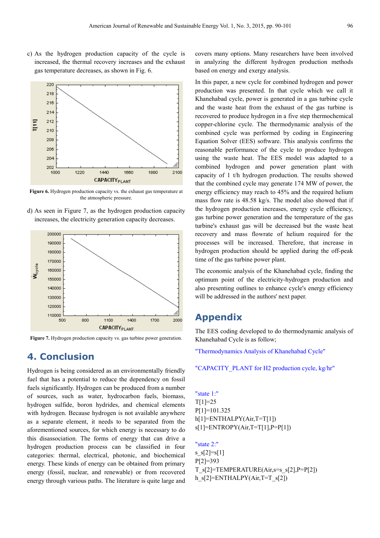c) As the hydrogen production capacity of the cycle is increased, the thermal recovery increases and the exhaust gas temperature decreases, as shown in Fig. 6.



**Figure 6.** Hydrogen production capacity vs. the exhaust gas temperature at the atmospheric pressure.

d) As seen in Figure 7, as the hydrogen production capacity increases, the electricity generation capacity decreases.



**Figure 7.** Hydrogen production capacity vs. gas turbine power generation.

### **4. Conclusion**

Hydrogen is being considered as an environmentally friendly fuel that has a potential to reduce the dependency on fossil fuels significantly. Hydrogen can be produced from a number of sources, such as water, hydrocarbon fuels, biomass, hydrogen sulfide, boron hydrides, and chemical elements with hydrogen. Because hydrogen is not available anywhere as a separate element, it needs to be separated from the aforementioned sources, for which energy is necessary to do this disassociation. The forms of energy that can drive a hydrogen production process can be classified in four categories: thermal, electrical, photonic, and biochemical energy. These kinds of energy can be obtained from primary energy (fossil, nuclear, and renewable) or from recovered energy through various paths. The literature is quite large and covers many options. Many researchers have been involved in analyzing the different hydrogen production methods based on energy and exergy analysis.

In this paper, a new cycle for combined hydrogen and power production was presented. In that cycle which we call it Khanehabad cycle, power is generated in a gas turbine cycle and the waste heat from the exhaust of the gas turbine is recovered to produce hydrogen in a five step thermochemical copper-chlorine cycle. The thermodynamic analysis of the combined cycle was performed by coding in Engineering Equation Solver (EES) software. This analysis confirms the reasonable performance of the cycle to produce hydrogen using the waste heat. The EES model was adapted to a combined hydrogen and power generation plant with capacity of 1 t/h hydrogen production. The results showed that the combined cycle may generate 174 MW of power, the energy efficiency may reach to 45% and the required helium mass flow rate is 48.58 kg/s. The model also showed that if the hydrogen production increases, energy cycle efficiency, gas turbine power generation and the temperature of the gas turbine's exhaust gas will be decreased but the waste heat recovery and mass flowrate of helium required for the processes will be increased. Therefore, that increase in hydrogen production should be applied during the off-peak time of the gas turbine power plant.

The economic analysis of the Khanehabad cycle, finding the optimum point of the electricity-hydrogen production and also presenting outlines to enhance cycle's energy efficiency will be addressed in the authors' next paper.

### **Appendix**

The EES coding developed to do thermodynamic analysis of Khanehabad Cycle is as follow;

"Thermodynamics Analysis of Khanehabad Cycle"

#### "CAPACITY\_PLANT for H2 production cycle, kg/hr"

"state 1:"  $T[1]=25$ P[1]=101.325  $h[1] = ENTHALPY(Air, T=T[1])$  $s[1]$ =ENTROPY(Air,T=T[1],P=P[1])

"state 2:" s  $s[2]=s[1]$ P[2]=393 T\_s[2]=TEMPERATURE(Air, s=s\_s[2], P=P[2]) h\_s[2]=ENTHALPY(Air,T=T\_s[2])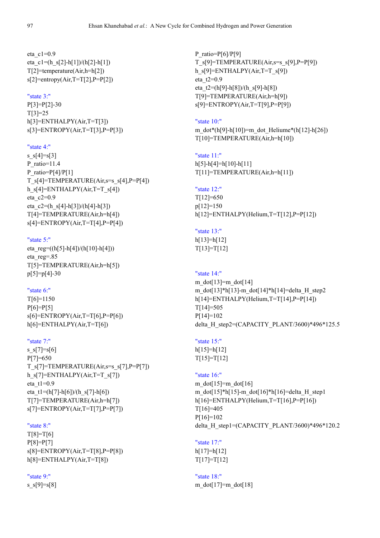eta\_c1=0.9 eta\_c1=(h\_s[2]-h[1])/(h[2]-h[1]) T[2]=temperature(Air,h=h[2]) s[2]=entropy(Air,T=T[2],P=P[2])

#### "state 3:"

P[3]=P[2]-30 T[3]=25 h[3]=ENTHALPY(Air,T=T[3])  $s[3] = \text{ENTROPY(Air, T=T[3], P=P[3])}$ 

#### "state 4:"

s  $s[4]=s[3]$ P\_ratio=11.4 P\_ratio=P[4]/P[1]  $T$  s[4]=TEMPERATURE(Air, s=s s[4], P=P[4]) h\_s[4]=ENTHALPY(Air,T=T\_s[4]) eta\_c2=0.9 eta  $c2=(h s[4]-h[3])/(h[4]-h[3])$ T[4]=TEMPERATURE(Air,h=h[4]) s[4]=ENTROPY(Air,T=T[4],P=P[4])

#### "state 5:"

eta reg=((h[5]-h[4])/(h[10]-h[4])) eta\_reg=.85 T[5]=TEMPERATURE(Air,h=h[5]) p[5]=p[4]-30

#### "state 6:"

T[6]=1150  $P[6] = P[5]$ s[6]=ENTROPY(Air,T=T[6],P=P[6]) h[6]=ENTHALPY(Air,T=T[6])

#### "state 7:"

s  $s[7]=s[6]$ P[7]=650 T\_s[7]=TEMPERATURE(Air,s=s\_s[7],P=P[7]) h\_s[7]=ENTHALPY(Air,T=T\_s[7]) eta $t1=0.9$ eta t1=(h[7]-h[6])/(h\_s[7]-h[6]) T[7]=TEMPERATURE(Air,h=h[7]) s[7]=ENTROPY(Air,T=T[7],P=P[7])

#### "state 8:"

T[8]=T[6] P[8]=P[7]  $s[8]$ =ENTROPY(Air,T=T[8],P=P[8]) h[8]=ENTHALPY(Air,T=T[8])

#### "state 9:"

s  $s[9]=s[8]$ 

P ratio= $P[6]/P[9]$ T\_s[9]=TEMPERATURE(Air,s=s\_s[9],P=P[9]) h\_s[9]=ENTHALPY(Air,T=T\_s[9]) eta\_t2=0.9 eta  $t2=(h[9]-h[8])/(h[s]9]-h[8])$ T[9]=TEMPERATURE(Air,h=h[9]) s[9]=ENTROPY(Air,T=T[9],P=P[9])

#### "state 10:"

m\_dot\*(h[9]-h[10])=m\_dot\_Heliume\*(h[12]-h[26]) T[10]=TEMPERATURE(Air,h=h[10])

#### "state 11:"

h[5]-h[4]=h[10]-h[11] T[11]=TEMPERATURE(Air,h=h[11])

#### "state 12:"

T[12]=650 p[12]=150 h[12]=ENTHALPY(Helium,T=T[12],P=P[12])

#### "state 13:" h[13]=h[12]

 $T[13]=T[12]$ 

#### "state 14:"

m\_dot $[13]$ =m\_dot $[14]$ m\_dot[13]\*h[13]-m\_dot[14]\*h[14]=delta\_H\_step2 h[14]=ENTHALPY(Helium,T=T[14],P=P[14]) T[14]=505 P[14]=102 delta\_H\_step2=(CAPACITY\_PLANT/3600)\*496\*125.5

#### "state 15:"

h[15]=h[12]  $T[15]=T[12]$ 

#### "state 16:"

m\_dot $[15]=m$  dot $[16]$ m\_dot[15]\*h[15]-m\_dot[16]\*h[16]=delta\_H\_step1 h[16]=ENTHALPY(Helium,T=T[16],P=P[16]) T[16]=405 P[16]=102 delta\_H\_step1=(CAPACITY\_PLANT/3600)\*496\*120.2

"state 17:" h[17]=h[12]  $T[17]=T[12]$ 

#### "state 18:" m\_dot[17]=m\_dot[18]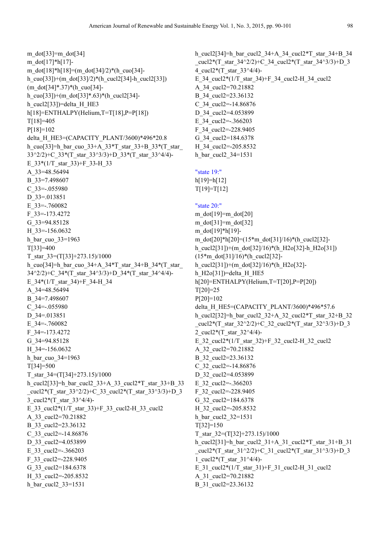m dot $[33]$ =m dot $[34]$ m\_dot[17]\*h[17] m\_dot[18]\*h[18]=(m\_dot[34]/2)\*(h\_cuo[34]h\_cuo[33])+(m\_dot[33]/2)\*(h\_cucl2[34]-h\_cucl2[33])  $(m \cdot dot[34]*.37)*(h \cdot cuo[34]$ h\_cuo[33])+(m\_dot[33]\*.63)\*(h\_cucl2[34]h cucl2[33])=delta H HE3 h[18]=ENTHALPY(Helium,T=T[18],P=P[18]) T[18]=405 P[18]=102 delta\_H\_HE3=(CAPACITY\_PLANT/3600)\*496\*20.8 h\_cuo[33]=h\_bar\_cuo\_33+A\_33\*T\_star\_33+B\_33\*(T\_star\_ 33^2/2)+C\_33\*(T\_star\_33^3/3)+D\_33\*(T\_star\_33^4/4)- E\_33\*(1/T\_star\_33)+F\_33-H\_33 A\_33=48.56494 B\_33=7.498607 C\_33=-.055980 D\_33=.013851 E\_33=-.760082 F\_33=-173.4272 G\_33=94.85128 H\_33=-156.0632 h bar cuo  $33=1963$ T[33]=400 T\_star\_33=(T[33]+273.15)/1000 h\_cuo[34]=h\_bar\_cuo\_34+A\_34\*T\_star\_34+B\_34\*(T\_star\_ 34^2/2)+C\_34\*(T\_star\_34^3/3)+D\_34\*(T\_star\_34^4/4)-E\_34\*(1/T\_star\_34)+F\_34-H\_34 A\_34=48.56494 B\_34=7.498607 C\_34=-.055980 D\_34=.013851 E\_34=-.760082 F\_34=-173.4272 G\_34=94.85128 H\_34=-156.0632 h\_bar\_cuo\_34=1963 T[34]=500 T\_star\_34= $(T[34]+273.15)/1000$ h\_cucl2[33]=h\_bar\_cucl2\_33+A\_33\_cucl2\*T\_star\_33+B\_33 cucl2\*(T\_star\_33^2/2)+C\_33\_cucl2\*(T\_star\_33^3/3)+D\_3 3 cucl2\*(T\_star\_33^4/4)-E\_33\_cucl2\*(1/T\_star\_33)+F\_33\_cucl2-H\_33\_cucl2 A\_33\_cucl2=70.21882 B\_33\_cucl2=23.36132 C\_33\_cucl2=-14.86876 D\_33\_cucl2=4.053899 E\_33\_cucl2=-.366203 F\_33\_cucl2=-228.9405 G\_33\_cucl2=184.6378 H\_33\_cucl2=-205.8532 h bar cucl2 33=1531

h\_cucl2[34]=h\_bar\_cucl2\_34+A\_34\_cucl2\*T\_star\_34+B\_34 cucl2\*(T\_star\_34^2/2)+C\_34\_cucl2\*(T\_star\_34^3/3)+D\_3 4\_cucl2\*(T\_star\_33^4/4)- E\_34\_cucl2\*(1/T\_star\_34)+F\_34\_cucl2-H\_34\_cucl2 A\_34\_cucl2=70.21882 B\_34\_cucl2=23.36132 C\_34\_cucl2=-14.86876 D 34 cucl2=4.053899 E\_34\_cucl2=-.366203 F\_34\_cucl2=-228.9405 G\_34\_cucl2=184.6378 H\_34\_cucl2=-205.8532 h\_bar\_cucl2\_34=1531 "state 19:" h[19]=h[12] T[19]=T[12] "state 20:" m\_dot $[19]$ =m\_dot $[20]$ m\_dot[31]=m\_dot[32] m\_dot[19]\*h[19] m\_dot[20]\*h[20]=(15\*m\_dot[31]/16)\*(h\_cucl2[32] h\_cucl2[31])+(m\_dot[32]/16)\*(h\_H2o[32]-h\_H2o[31])  $(15*m \cdot dot[31]/16)*(h \cdot cucl2[32]$ h\_cucl2[31])+(m\_dot[32]/16)\*(h\_H2o[32]h H2o $[31]$ )=delta H HE5 h[20]=ENTHALPY(Helium,T=T[20],P=P[20])  $T[20]=25$ P[20]=102 delta H\_HE5=(CAPACITY\_PLANT/3600)\*496\*57.6 h\_cucl2[32]=h\_bar\_cucl2\_32+A\_32\_cucl2\*T\_star\_32+B\_32 cucl2\*(T\_star\_32^2/2)+C\_32\_cucl2\*(T\_star\_32^3/3)+D\_3 2 cucl2\*(T star  $32^{\wedge}4/4$ )-E\_32\_cucl2\*(1/T\_star\_32)+F\_32\_cucl2-H\_32\_cucl2 A\_32\_cucl2=70.21882 B 32 cucl2=23.36132 C\_32\_cucl2=-14.86876 D 32 cucl2=4.053899 E\_32\_cucl2=-.366203 F\_32\_cucl2=-228.9405 G\_32\_cucl2=184.6378 H\_32\_cucl2=-205.8532 h\_bar\_cucl2\_32=1531 T[32]=150 T\_star\_32= $(T[32]+273.15)/1000$ h\_cucl2[31]=h\_bar\_cucl2\_31+A\_31\_cucl2\*T\_star\_31+B\_31 cucl2\*(T\_star\_31^2/2)+C\_31\_cucl2\*(T\_star\_31^3/3)+D\_3 1 cucl2\*(T star  $31^{\circ}4/4$ )-E\_31\_cucl2\*( $1/T$ \_star\_31)+F\_31\_cucl2-H\_31\_cucl2 A\_31\_cucl2=70.21882 B\_31\_cucl2=23.36132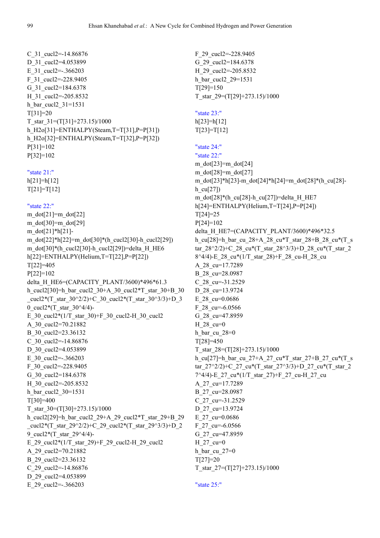```
C 31 cucl2=-14.86876
D 31 cucl2=4.053899
E 31 cucl2=-.366203
F_31_cucl2=-228.9405 
G_31_cucl2=184.6378 
H_31_cucl2=-205.8532 
h_bar_cucl2_31=1531 
T[31]=20 
T_star_31=(T[31]+273.15)/1000h_H2o[31]=ENTHALPY(Steam,T=T[31],P=P[31]) 
h_H2o[32]=ENTHALPY(Steam,T=T[32],P=P[32]) 
P[31]=102 
P[32]=102
```

```
"state 21:"
```
 $h[21]=h[12]$  $T[21]=T[12]$ 

#### "state 22:"

m\_dot $[21]$ =m\_dot $[22]$ m  $dot[30]=m$   $dot[29]$ m\_dot[21]\*h[21] m\_dot[22]\*h[22]=m\_dot[30]\*(h\_cucl2[30]-h\_cucl2[29]) m\_dot[30]\*(h\_cucl2[30]-h\_cucl2[29])=delta\_H\_HE6 h[22]=ENTHALPY(Helium,T=T[22],P=P[22]) T[22]=405 P[22]=102 delta H\_HE6=(CAPACITY\_PLANT/3600)\*496\*61.3 h\_cucl2[30]=h\_bar\_cucl2\_30+A\_30\_cucl2\*T\_star\_30+B\_30 cucl2\*(T\_star\_30^2/2)+C\_30\_cucl2\*(T\_star\_30^3/3)+D\_3 0\_cucl2\*(T\_star\_30^4/4)- E\_30\_cucl2\*(1/T\_star\_30)+F\_30\_cucl2-H\_30\_cucl2 A\_30\_cucl2=70.21882 B 30 cucl2=23.36132 C 30 cucl2=-14.86876 D 30 cucl2=4.053899 E 30 cucl2=-.366203 F\_30\_cucl2=-228.9405 G\_30\_cucl2=184.6378 H\_30\_cucl2=-205.8532 h bar cucl2 30=1531 T[30]=400 T\_star\_30= $(T[30]+273.15)/1000$ h\_cucl2[29]=h\_bar\_cucl2\_29+A\_29\_cucl2\*T\_star\_29+B\_29 cucl2\*(T\_star\_29^2/2)+C\_29\_cucl2\*(T\_star\_29^3/3)+D\_2 9 cucl2\*(T star 29^4/4)-E\_29\_cucl2\*(1/T\_star\_29)+F\_29\_cucl2-H\_29\_cucl2 A\_29\_cucl2=70.21882 B\_29\_cucl2=23.36132 C\_29\_cucl2=-14.86876 D 29 cucl2=4.053899 E\_29\_cucl2=-.366203

F\_29\_cucl2=-228.9405 G\_29\_cucl2=184.6378 H\_29\_cucl2=-205.8532 h\_bar\_cucl2\_29=1531 T[29]=150 T\_star\_29= $(T[29]+273.15)/1000$ "state 23:" h[23]=h[12]  $T[23]=T[12]$ "state 24:" "state 22:" m\_dot $[23]$ =m\_dot $[24]$ m\_dot $[28]$ =m\_dot $[27]$ m\_dot[23]\*h[23]-m\_dot[24]\*h[24]=m\_dot[28]\*(h\_cu[28] h  $cu[27]$ m\_dot[28]\*(h\_cu[28]-h\_cu[27])=delta\_H\_HE7 h[24]=ENTHALPY(Helium,T=T[24],P=P[24]) T[24]=25 P[24]=102 delta H\_HE7=(CAPACITY\_PLANT/3600)\*496\*32.5 h\_cu[28]=h\_bar\_cu\_28+A\_28\_cu\*T\_star\_28+B\_28\_cu\*(T\_s tar\_28^2/2)+C\_28\_cu\*(T\_star\_28^3/3)+D\_28\_cu\*(T\_star\_2 8^4/4)-E\_28\_cu\*(1/T\_star\_28)+F\_28\_cu-H\_28\_cu A\_28\_cu=17.7289 B\_28\_cu=28.0987 C\_28\_cu=-31.2529 D\_28\_cu=13.9724 E\_28\_cu=0.0686 F\_28\_cu=-6.0566 G\_28\_cu=47.8959 H\_28\_cu=0 h bar cu  $28=0$ T[28]=450 T\_star\_28= $(T[28]+273.15)/1000$ h\_cu[27]=h\_bar\_cu\_27+A\_27\_cu\*T\_star\_27+B\_27\_cu\*(T\_s tar\_27^2/2)+C\_27\_cu\*(T\_star\_27^3/3)+D\_27\_cu\*(T\_star\_2 7^4/4)-E\_27\_cu\*(1/T\_star\_27)+F\_27\_cu-H\_27\_cu A\_27\_cu=17.7289 B\_27\_cu=28.0987  $C_2$ 7\_cu=-31.2529 D\_27\_cu=13.9724 E\_27\_cu=0.0686 F\_27\_cu=-6.0566 G\_27\_cu=47.8959 H\_27\_cu=0 h bar cu $27=0$ T[27]=20 T\_star\_27= $(T[27]+273.15)/1000$ 

```
"state 25:"
```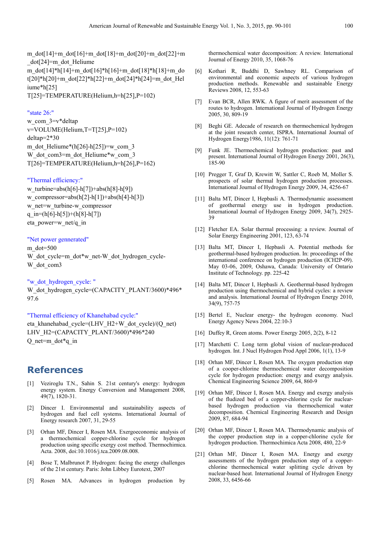m\_dot[14]+m\_dot[16]+m\_dot[18]+m\_dot[20]+m\_dot[22]+m \_dot[24]=m\_dot\_Heliume m\_dot[14]\*h[14]+m\_dot[16]\*h[16]+m\_dot[18]\*h[18]+m\_do t[20]\*h[20]+m\_dot[22]\*h[22]+m\_dot[24]\*h[24]=m\_dot\_Hel iume\*h[25] T[25]=TEMPERATURE(Helium,h=h[25],P=102)

#### "state 26:"

w com 3=v\*deltap v=VOLUME(Helium,T=T[25],P=102) deltap=2\*30 m\_dot\_Heliume\*(h[26]-h[25])=w\_com\_3 W dot com3=m dot Heliume\*w com 3 T[26]=TEMPERATURE(Helium,h=h[26],P=162)

#### "Thermal efficiency:"

w\_turbine=abs(h[6]-h[7])+abs(h[8]-h[9]) w\_compressor=abs(h[2]-h[1])+abs(h[4]-h[3]) w\_net=w\_turbine-w\_compressor q in=(h[6]-h[5])+(h[8]-h[7]) eta\_power=w\_net/q\_in

#### "Net power gennerated"

m\_dot=500 W dot cycle=m\_dot\*w\_net-W\_dot\_hydrogen\_cycle-W dot com3

"w\_dot\_hydrogen\_cycle: "

W\_dot\_hydrogen\_cycle=(CAPACITY\_PLANT/3600)\*496\* 97.6

#### "Thermal efficiency of Khanehabad cycle:"

eta\_khanehabad\_cycle=(LHV\_H2+W\_dot\_cycle)/(Q\_net) LHV\_H2=(CAPACITY\_PLANT/3600)\*496\*240 Q net=m\_dot\*q\_in

### **References**

- [1] Veziroglu T.N., Sahin S. 21st century's energy: hydrogen energy system. Energy Conversion and Management 2008, 49(7), 1820-31.
- [2] Dincer I. Environmental and sustainability aspects of hydrogen and fuel cell systems. International Journal of Energy research 2007, 31, 29-55
- [3] Orhan MF, Dincer I, Rosen MA. Exergoeconomic analysis of a thermochemical copper-chlorine cycle for hydrogen production using specific exergy cost method. Thermochimica. Acta. 2008, doi:10.1016/j.tca.2009.08.008.
- [4] Bose T, Malbrunot P. Hydrogen: facing the energy challenges of the 21st century. Paris: John Libbey Eurotext, 2007
- [5] Rosen MA. Advances in hydrogen production by

thermochemical water decomposition: A review. International Journal of Energy 2010, 35, 1068-76

- [6] Kothari R, Buddhi D, Sawhney RL. Comparison of environmental and economic aspects of various hydrogen production methods. Renewable and sustainable Energy Reviews 2008, 12, 553-63
- [7] Evan BCR, Allen RWK. A figure of merit assessment of the routes to hydrogen. International Journal of Hydrogen Energy 2005, 30, 809-19
- [8] Beghi GE. Adecade of research on thermochemical hydrogen at the joint research center, ISPRA. International Journal of Hydrogen Energy1986, 11(12): 761-71
- [9] Funk JE. Thermochemical hydrogen production: past and present. International Journal of Hydrogen Energy 2001, 26(3), 185-90
- [10] Pregger T, Graf D, Krewitt W, Sattler C, Roeb M, Moller S. prospects of solar thermal hydrogen production processes. International Journal of Hydrogen Energy 2009, 34, 4256-67
- [11] Balta MT, Dincer I, Hepbasli A. Thermodynamic assessment of geothermal energy use in hydrogen production. International Journal of Hydrogen Energy 2009, 34(7), 2925- 39
- [12] Fletcher EA. Solar thermal processing: a review. Journal of Solar Energy Engineering 2001, 123, 63-74
- [13] Balta MT, Dincer I, Hepbasli A. Potential methods for geothermal-based hydrogen production. In: proceedings of the international conference on hydrogen production (ICH2P-09). May 03-06, 2009, Oshawa, Canada: University of Ontario Institute of Technology. pp. 225-42
- [14] Balta MT, Dincer I, Hepbasli A. Geothermal-based hydrogen production using thermochemical and hybrid cycles: a review and analysis. International Journal of Hydrogen Energy 2010, 34(9), 757-75
- [15] Bertel E, Nuclear energy- the hydrogen economy. Nucl Energy Agency News 2004, 22:10-3
- [16] Duffey R, Green atoms. Power Energy 2005, 2(2), 8-12
- [17] Marchetti C. Long term global vision of nuclear-produced hydrogen. Int. J Nucl Hydrogen Prod Appl 2006, 1(1), 13-9
- [18] Orhan MF, Dincer I, Rosen MA. The oxygen production step of a cooper-chlorine thermochemical water decomposition cycle for hydrogen production: energy and exergy analysis. Chemical Engineering Science 2009, 64, 860-9
- [19] Orhan MF, Dincer I, Rosen MA. Energy and exergy analysis of the fludized bed of a copper-chlorine cycle for nuclearbased hydrogen production via thermochemical water decomposition. Chemical Engineering Research and Design 2009, 87, 684-94
- [20] Orhan MF, Dincer I, Rosen MA. Thermodynamic analysis of the copper production step in a copper-chlorine cycle for hydrogen production. Thermochimica Acta 2008, 480, 22-9
- [21] Orhan MF, Dincer I, Rosen MA. Energy and exergy assessments of the hydrogen production step of a copperchlorine thermochemical water splitting cycle driven by nuclear-based heat. International Journal of Hydrogen Energy 2008, 33, 6456-66